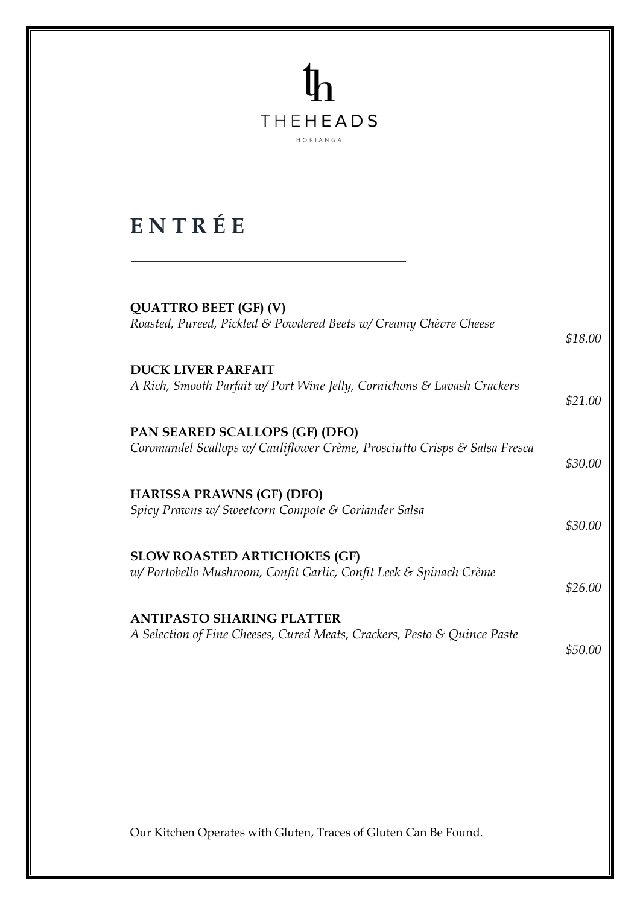## $\mathfrak{h}$ **THEHEADS** HOKIANGA

### **E N T R É E**

| <b>QUATTRO BEET (GF) (V)</b>                                               |         |
|----------------------------------------------------------------------------|---------|
| Roasted, Pureed, Pickled & Powdered Beets w/ Creamy Chèvre Cheese          | \$18.00 |
| <b>DUCK LIVER PARFAIT</b>                                                  |         |
| A Rich, Smooth Parfait w/ Port Wine Jelly, Cornichons & Lavash Crackers    | \$21.00 |
| PAN SEARED SCALLOPS (GF) (DFO)                                             |         |
| Coromandel Scallops w/ Cauliflower Crème, Prosciutto Crisps & Salsa Fresca | \$30.00 |
| <b>HARISSA PRAWNS (GF) (DFO)</b>                                           |         |
| Spicy Prawns w/ Sweetcorn Compote & Coriander Salsa                        | \$30.00 |
| <b>SLOW ROASTED ARTICHOKES (GF)</b>                                        |         |
| w/Portobello Mushroom, Confit Garlic, Confit Leek & Spinach Crème          |         |
|                                                                            | \$26.00 |
| <b>ANTIPASTO SHARING PLATTER</b>                                           |         |
| A Selection of Fine Cheeses, Cured Meats, Crackers, Pesto & Quince Paste   | \$50.00 |
|                                                                            |         |
|                                                                            |         |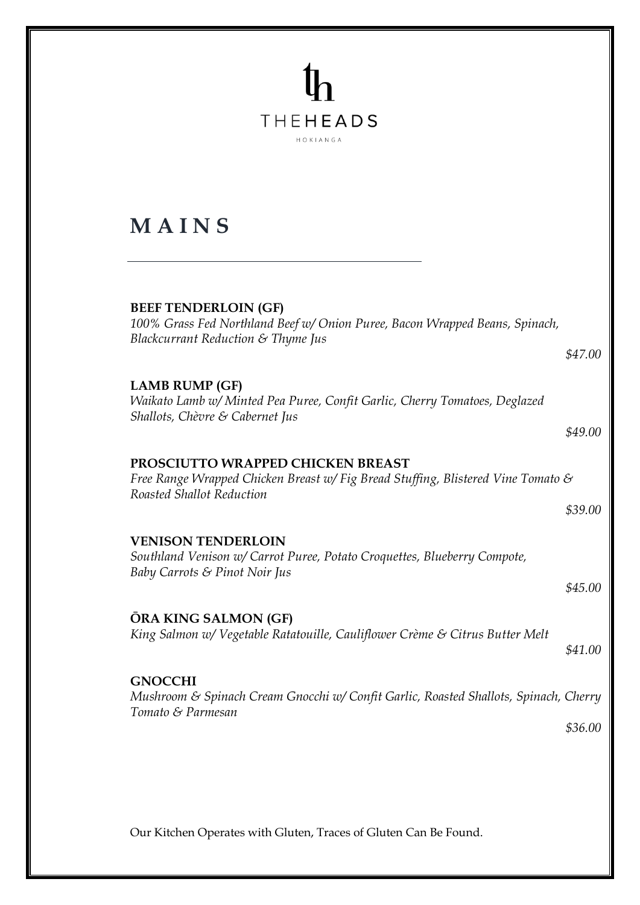### **THEHEADS** HOKIANGA **M A I N S BEEF TENDERLOIN (GF)** *100% Grass Fed Northland Beef w/ Onion Puree, Bacon Wrapped Beans, Spinach, Blackcurrant Reduction & Thyme Jus \$47.00*  **LAMB RUMP (GF)** *Waikato Lamb w/ Minted Pea Puree, Confit Garlic, Cherry Tomatoes, Deglazed Shallots, Chèvre & Cabernet Jus \$49.00* **PROSCIUTTO WRAPPED CHICKEN BREAST** *Free Range Wrapped Chicken Breast w/ Fig Bread Stuffing, Blistered Vine Tomato & Roasted Shallot Reduction \$39.00* **VENISON TENDERLOIN** *Southland Venison w/ Carrot Puree, Potato Croquettes, Blueberry Compote, Baby Carrots & Pinot Noir Jus \$45.00* **ŌRA KING SALMON (GF)** *King Salmon w/ Vegetable Ratatouille, Cauliflower Crème & Citrus Butter Melt \$41.00* **GNOCCHI**  *Mushroom & Spinach Cream Gnocchi w/ Confit Garlic, Roasted Shallots, Spinach, Cherry Tomato & Parmesan \$36.00*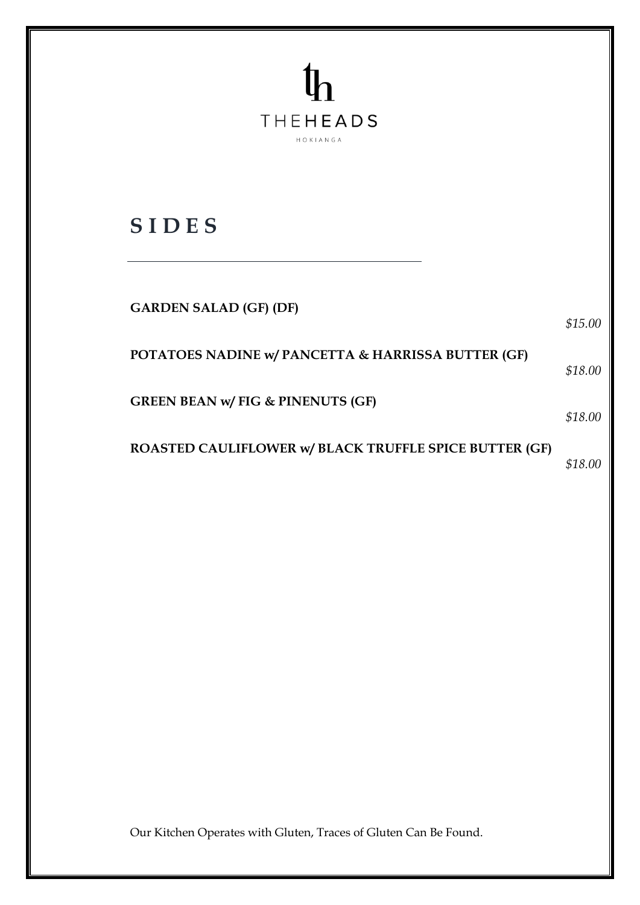| <b>THEHEADS</b><br>HOKIANGA                            |         |
|--------------------------------------------------------|---------|
| <b>SIDES</b>                                           |         |
| <b>GARDEN SALAD (GF) (DF)</b>                          | \$15.00 |
| POTATOES NADINE w/ PANCETTA & HARRISSA BUTTER (GF)     | \$18.00 |
| <b>GREEN BEAN w/ FIG &amp; PINENUTS (GF)</b>           | \$18.00 |
| ROASTED CAULIFLOWER w/ BLACK TRUFFLE SPICE BUTTER (GF) | \$18.00 |
|                                                        |         |